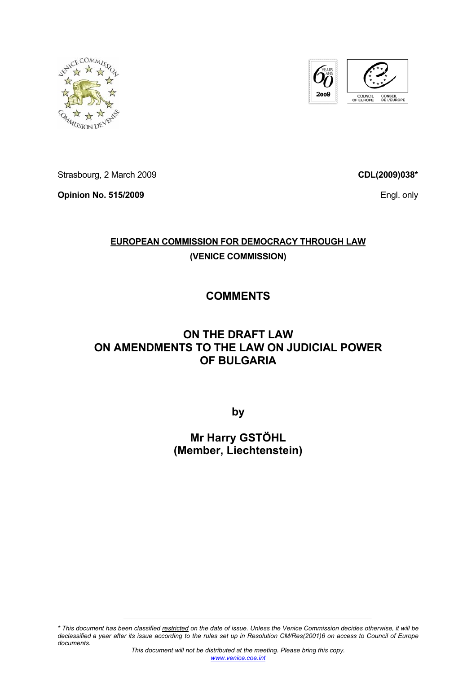



Strasbourg, 2 March 2009

**Opinion No. 515/2009** 

**CDL(2009)038\***

Engl. only

## **EUROPEAN COMMISSION FOR DEMOCRACY THROUGH LAW (VENICE COMMISSION)**

# **COMMENTS**

### **ON THE DRAFT LAW ON AMENDMENTS TO THE LAW ON JUDICIAL POWER OF BULGARIA**

**by** 

**Mr Harry GSTÖHL (Member, Liechtenstein)** 

*\* This document has been classified restricted on the date of issue. Unless the Venice Commission decides otherwise, it will be declassified a year after its issue according to the rules set up in Resolution CM/Res(2001)6 on access to Council of Europe documents.*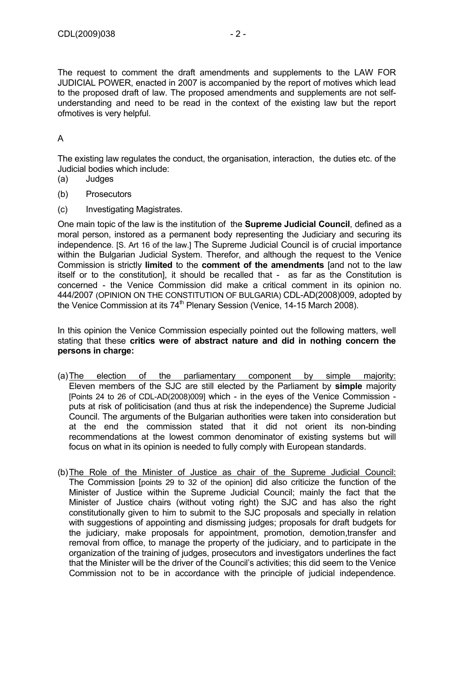The request to comment the draft amendments and supplements to the LAW FOR JUDICIAL POWER, enacted in 2007 is accompanied by the report of motives which lead to the proposed draft of law. The proposed amendments and supplements are not selfunderstanding and need to be read in the context of the existing law but the report ofmotives is very helpful.

#### A

The existing law regulates the conduct, the organisation, interaction, the duties etc. of the Judicial bodies which include:

- (a) Judges
- (b) Prosecutors
- (c) Investigating Magistrates.

One main topic of the law is the institution of the **Supreme Judicial Council**, defined as a moral person, instored as a permanent body representing the Judiciary and securing its independence. [S. Art 16 of the law.] The Supreme Judicial Council is of crucial importance within the Bulgarian Judicial System. Therefor, and although the request to the Venice Commission is strictly **limited** to the **comment of the amendments** [and not to the law itself or to the constitution], it should be recalled that - as far as the Constitution is concerned - the Venice Commission did make a critical comment in its opinion no. 444/2007 (OPINION ON THE CONSTITUTION OF BULGARIA) CDL-AD(2008)009, adopted by the Venice Commission at its 74<sup>th</sup> Plenary Session (Venice, 14-15 March 2008).

In this opinion the Venice Commission especially pointed out the following matters, well stating that these **critics were of abstract nature and did in nothing concern the persons in charge:** 

- (a) The election of the parliamentary component by simple majority: Eleven members of the SJC are still elected by the Parliament by **simple** majority [Points 24 to 26 of CDL-AD(2008)009] which - in the eyes of the Venice Commission puts at risk of politicisation (and thus at risk the independence) the Supreme Judicial Council. The arguments of the Bulgarian authorities were taken into consideration but at the end the commission stated that it did not orient its non-binding recommendations at the lowest common denominator of existing systems but will focus on what in its opinion is needed to fully comply with European standards.
- (b) The Role of the Minister of Justice as chair of the Supreme Judicial Council: The Commission [points 29 to 32 of the opinion] did also criticize the function of the Minister of Justice within the Supreme Judicial Council; mainly the fact that the Minister of Justice chairs (without voting right) the SJC and has also the right constitutionally given to him to submit to the SJC proposals and specially in relation with suggestions of appointing and dismissing judges; proposals for draft budgets for the judiciary, make proposals for appointment, promotion, demotion,transfer and removal from office, to manage the property of the judiciary, and to participate in the organization of the training of judges, prosecutors and investigators underlines the fact that the Minister will be the driver of the Council's activities; this did seem to the Venice Commission not to be in accordance with the principle of judicial independence.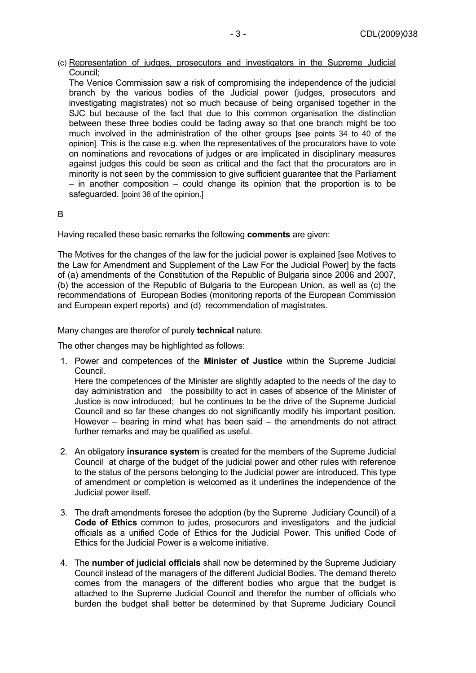(c) Representation of judges, prosecutors and investigators in the Supreme Judicial Council;

The Venice Commission saw a risk of compromising the independence of the judicial branch by the various bodies of the Judicial power (judges, prosecutors and investigating magistrates) not so much because of being organised together in the SJC but because of the fact that due to this common organisation the distinction between these three bodies could be fading away so that one branch might be too much involved in the administration of the other groups [see points 34 to 40 of the opinion]. This is the case e.g. when the representatives of the procurators have to vote on nominations and revocations of judges or are implicated in disciplinary measures against judges this could be seen as critical and the fact that the procurators are in minority is not seen by the commission to give sufficient guarantee that the Parliament – in another composition – could change its opinion that the proportion is to be safeguarded. [point 36 of the opinion.]

#### B

Having recalled these basic remarks the following **comments** are given:

The Motives for the changes of the law for the judicial power is explained [see Motives to the Law for Amendment and Supplement of the Law For the Judicial Power] by the facts of (a) amendments of the Constitution of the Republic of Bulgaria since 2006 and 2007, (b) the accession of the Republic of Bulgaria to the European Union, as well as (c) the recommendations of European Bodies (monitoring reports of the European Commission and European expert reports) and (d) recommendation of magistrates.

Many changes are therefor of purely **technical** nature.

The other changes may be highlighted as follows:

1. Power and competences of the **Minister of Justice** within the Supreme Judicial Council.

Here the competences of the Minister are slightly adapted to the needs of the day to day administration and the possibility to act in cases of absence of the Minister of Justice is now introduced; but he continues to be the drive of the Supreme Judicial Council and so far these changes do not significantly modify his important position. However – bearing in mind what has been said – the amendments do not attract further remarks and may be qualified as useful.

- 2. An obligatory **insurance system** is created for the members of the Supreme Judicial Council at charge of the budget of the judicial power and other rules with reference to the status of the persons belonging to the Judicial power are introduced. This type of amendment or completion is welcomed as it underlines the independence of the Judicial power itself.
- 3. The draft amendments foresee the adoption (by the Supreme Judiciary Council) of a **Code of Ethics** common to judes, prosecurors and investigators and the judicial officials as a unified Code of Ethics for the Judicial Power. This unified Code of Ethics for the Judicial Power is a welcome initiative.
- 4. The **number of judicial officials** shall now be determined by the Supreme Judiciary Council instead of the managers of the different Judicial Bodies. The demand thereto comes from the managers of the different bodies who argue that the budget is attached to the Supreme Judicial Council and therefor the number of officials who burden the budget shall better be determined by that Supreme Judiciary Council